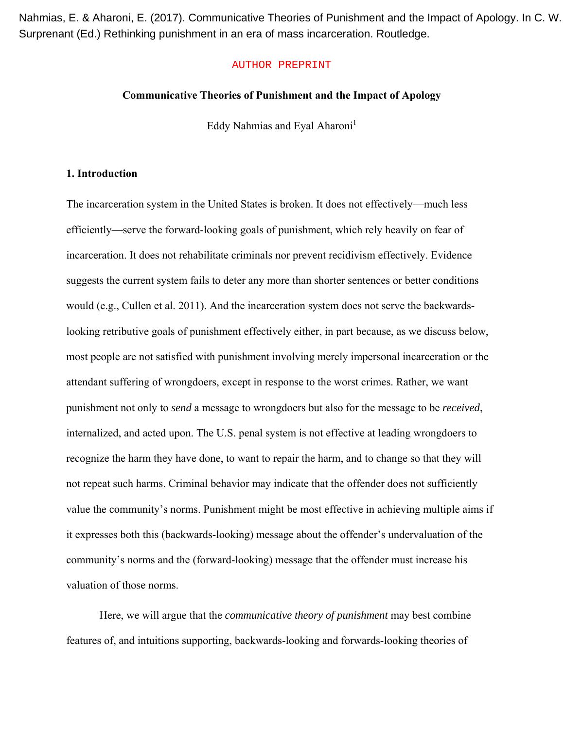Nahmias, E. & Aharoni, E. (2017). Communicative Theories of Punishment and the Impact of Apology. In C. W. Surprenant (Ed.) Rethinking punishment in an era of mass incarceration. Routledge.

#### AUTHOR PREPRINT

#### **Communicative Theories of Punishment and the Impact of Apology**

Eddy Nahmias and Eyal Aharoni<sup>1</sup>

## **1. Introduction**

The incarceration system in the United States is broken. It does not effectively—much less efficiently—serve the forward-looking goals of punishment, which rely heavily on fear of incarceration. It does not rehabilitate criminals nor prevent recidivism effectively. Evidence suggests the current system fails to deter any more than shorter sentences or better conditions would (e.g., Cullen et al. 2011). And the incarceration system does not serve the backwardslooking retributive goals of punishment effectively either, in part because, as we discuss below, most people are not satisfied with punishment involving merely impersonal incarceration or the attendant suffering of wrongdoers, except in response to the worst crimes. Rather, we want punishment not only to *send* a message to wrongdoers but also for the message to be *received*, internalized, and acted upon. The U.S. penal system is not effective at leading wrongdoers to recognize the harm they have done, to want to repair the harm, and to change so that they will not repeat such harms. Criminal behavior may indicate that the offender does not sufficiently value the community's norms. Punishment might be most effective in achieving multiple aims if it expresses both this (backwards-looking) message about the offender's undervaluation of the community's norms and the (forward-looking) message that the offender must increase his valuation of those norms.

 Here, we will argue that the *communicative theory of punishment* may best combine features of, and intuitions supporting, backwards-looking and forwards-looking theories of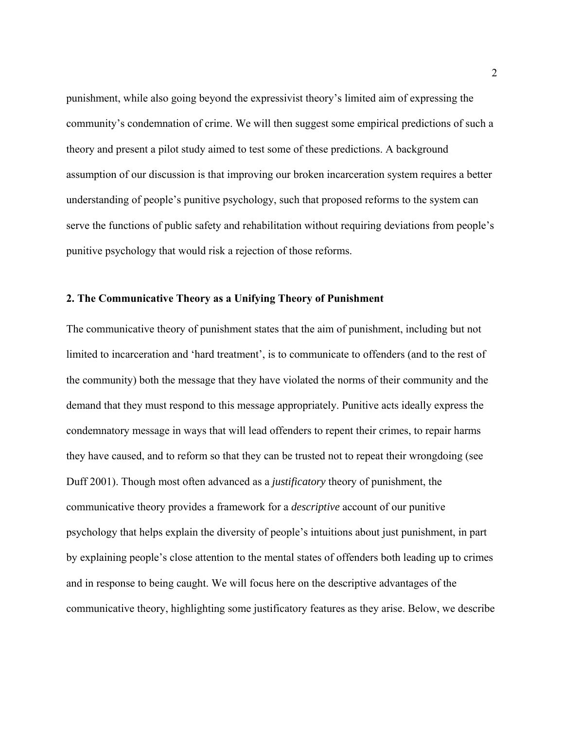punishment, while also going beyond the expressivist theory's limited aim of expressing the community's condemnation of crime. We will then suggest some empirical predictions of such a theory and present a pilot study aimed to test some of these predictions. A background assumption of our discussion is that improving our broken incarceration system requires a better understanding of people's punitive psychology, such that proposed reforms to the system can serve the functions of public safety and rehabilitation without requiring deviations from people's punitive psychology that would risk a rejection of those reforms.

### **2. The Communicative Theory as a Unifying Theory of Punishment**

The communicative theory of punishment states that the aim of punishment, including but not limited to incarceration and 'hard treatment', is to communicate to offenders (and to the rest of the community) both the message that they have violated the norms of their community and the demand that they must respond to this message appropriately. Punitive acts ideally express the condemnatory message in ways that will lead offenders to repent their crimes, to repair harms they have caused, and to reform so that they can be trusted not to repeat their wrongdoing (see Duff 2001). Though most often advanced as a *justificatory* theory of punishment, the communicative theory provides a framework for a *descriptive* account of our punitive psychology that helps explain the diversity of people's intuitions about just punishment, in part by explaining people's close attention to the mental states of offenders both leading up to crimes and in response to being caught. We will focus here on the descriptive advantages of the communicative theory, highlighting some justificatory features as they arise. Below, we describe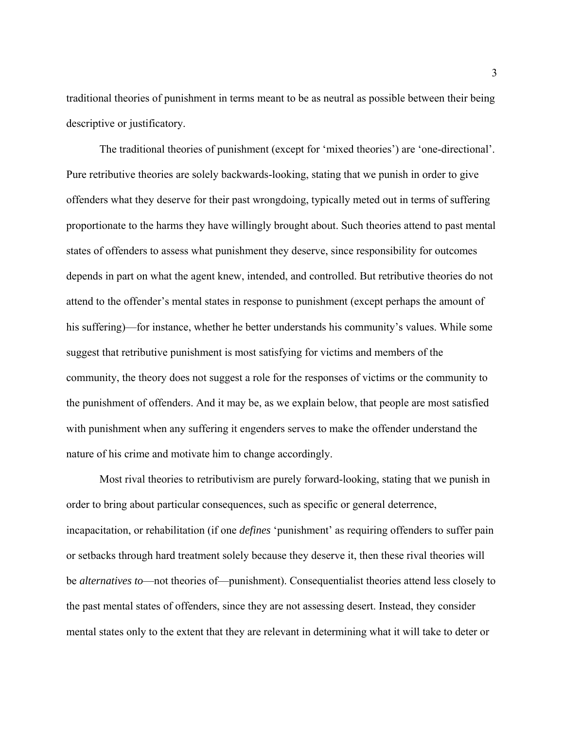traditional theories of punishment in terms meant to be as neutral as possible between their being descriptive or justificatory.

 The traditional theories of punishment (except for 'mixed theories') are 'one-directional'. Pure retributive theories are solely backwards-looking, stating that we punish in order to give offenders what they deserve for their past wrongdoing, typically meted out in terms of suffering proportionate to the harms they have willingly brought about. Such theories attend to past mental states of offenders to assess what punishment they deserve, since responsibility for outcomes depends in part on what the agent knew, intended, and controlled. But retributive theories do not attend to the offender's mental states in response to punishment (except perhaps the amount of his suffering)—for instance, whether he better understands his community's values. While some suggest that retributive punishment is most satisfying for victims and members of the community, the theory does not suggest a role for the responses of victims or the community to the punishment of offenders. And it may be, as we explain below, that people are most satisfied with punishment when any suffering it engenders serves to make the offender understand the nature of his crime and motivate him to change accordingly.

 Most rival theories to retributivism are purely forward-looking, stating that we punish in order to bring about particular consequences, such as specific or general deterrence, incapacitation, or rehabilitation (if one *defines* 'punishment' as requiring offenders to suffer pain or setbacks through hard treatment solely because they deserve it, then these rival theories will be *alternatives to*—not theories of—punishment). Consequentialist theories attend less closely to the past mental states of offenders, since they are not assessing desert. Instead, they consider mental states only to the extent that they are relevant in determining what it will take to deter or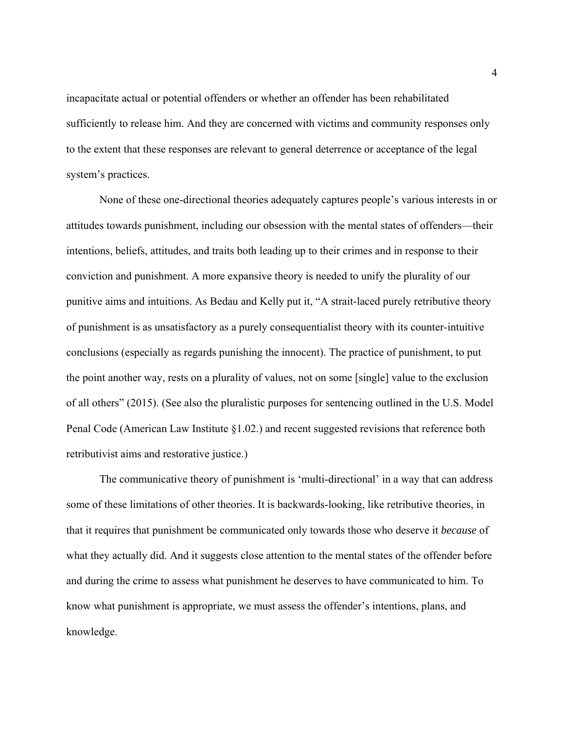incapacitate actual or potential offenders or whether an offender has been rehabilitated sufficiently to release him. And they are concerned with victims and community responses only to the extent that these responses are relevant to general deterrence or acceptance of the legal system's practices.

 None of these one-directional theories adequately captures people's various interests in or attitudes towards punishment, including our obsession with the mental states of offenders—their intentions, beliefs, attitudes, and traits both leading up to their crimes and in response to their conviction and punishment. A more expansive theory is needed to unify the plurality of our punitive aims and intuitions. As Bedau and Kelly put it, "A strait-laced purely retributive theory of punishment is as unsatisfactory as a purely consequentialist theory with its counter-intuitive conclusions (especially as regards punishing the innocent). The practice of punishment, to put the point another way, rests on a plurality of values, not on some [single] value to the exclusion of all others" (2015). (See also the pluralistic purposes for sentencing outlined in the U.S. Model Penal Code (American Law Institute §1.02.) and recent suggested revisions that reference both retributivist aims and restorative justice.)

The communicative theory of punishment is 'multi-directional' in a way that can address some of these limitations of other theories. It is backwards-looking, like retributive theories, in that it requires that punishment be communicated only towards those who deserve it *because* of what they actually did. And it suggests close attention to the mental states of the offender before and during the crime to assess what punishment he deserves to have communicated to him. To know what punishment is appropriate, we must assess the offender's intentions, plans, and knowledge.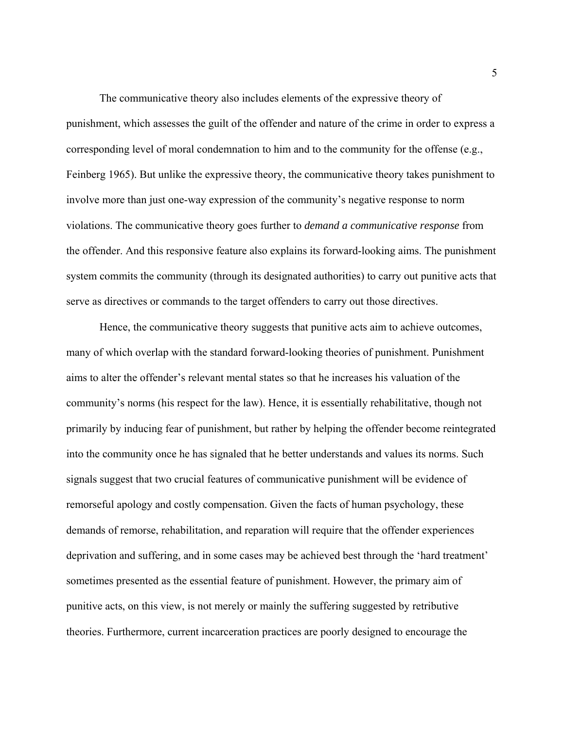The communicative theory also includes elements of the expressive theory of punishment, which assesses the guilt of the offender and nature of the crime in order to express a corresponding level of moral condemnation to him and to the community for the offense (e.g., Feinberg 1965). But unlike the expressive theory, the communicative theory takes punishment to involve more than just one-way expression of the community's negative response to norm violations. The communicative theory goes further to *demand a communicative response* from the offender. And this responsive feature also explains its forward-looking aims. The punishment system commits the community (through its designated authorities) to carry out punitive acts that serve as directives or commands to the target offenders to carry out those directives.

Hence, the communicative theory suggests that punitive acts aim to achieve outcomes, many of which overlap with the standard forward-looking theories of punishment. Punishment aims to alter the offender's relevant mental states so that he increases his valuation of the community's norms (his respect for the law). Hence, it is essentially rehabilitative, though not primarily by inducing fear of punishment, but rather by helping the offender become reintegrated into the community once he has signaled that he better understands and values its norms. Such signals suggest that two crucial features of communicative punishment will be evidence of remorseful apology and costly compensation. Given the facts of human psychology, these demands of remorse, rehabilitation, and reparation will require that the offender experiences deprivation and suffering, and in some cases may be achieved best through the 'hard treatment' sometimes presented as the essential feature of punishment. However, the primary aim of punitive acts, on this view, is not merely or mainly the suffering suggested by retributive theories. Furthermore, current incarceration practices are poorly designed to encourage the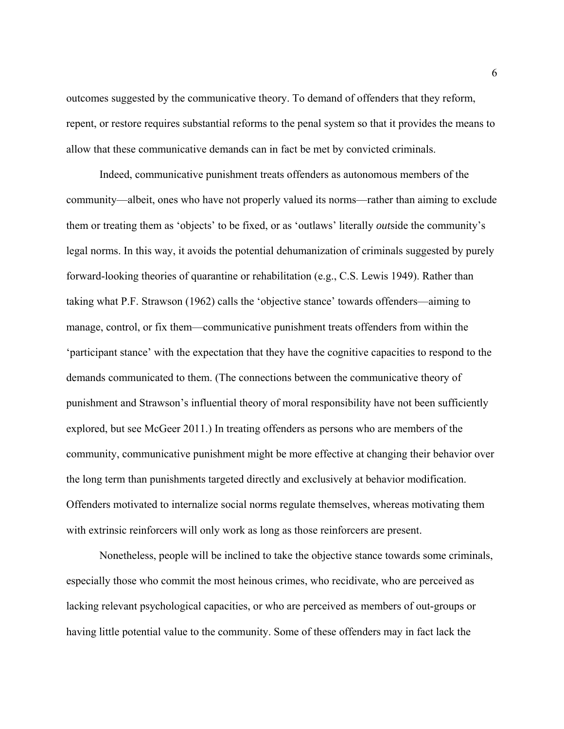outcomes suggested by the communicative theory. To demand of offenders that they reform, repent, or restore requires substantial reforms to the penal system so that it provides the means to allow that these communicative demands can in fact be met by convicted criminals.

Indeed, communicative punishment treats offenders as autonomous members of the community—albeit, ones who have not properly valued its norms—rather than aiming to exclude them or treating them as 'objects' to be fixed, or as 'outlaws' literally *out*side the community's legal norms. In this way, it avoids the potential dehumanization of criminals suggested by purely forward-looking theories of quarantine or rehabilitation (e.g., C.S. Lewis 1949). Rather than taking what P.F. Strawson (1962) calls the 'objective stance' towards offenders—aiming to manage, control, or fix them—communicative punishment treats offenders from within the 'participant stance' with the expectation that they have the cognitive capacities to respond to the demands communicated to them. (The connections between the communicative theory of punishment and Strawson's influential theory of moral responsibility have not been sufficiently explored, but see McGeer 2011.) In treating offenders as persons who are members of the community, communicative punishment might be more effective at changing their behavior over the long term than punishments targeted directly and exclusively at behavior modification. Offenders motivated to internalize social norms regulate themselves, whereas motivating them with extrinsic reinforcers will only work as long as those reinforcers are present.

Nonetheless, people will be inclined to take the objective stance towards some criminals, especially those who commit the most heinous crimes, who recidivate, who are perceived as lacking relevant psychological capacities, or who are perceived as members of out-groups or having little potential value to the community. Some of these offenders may in fact lack the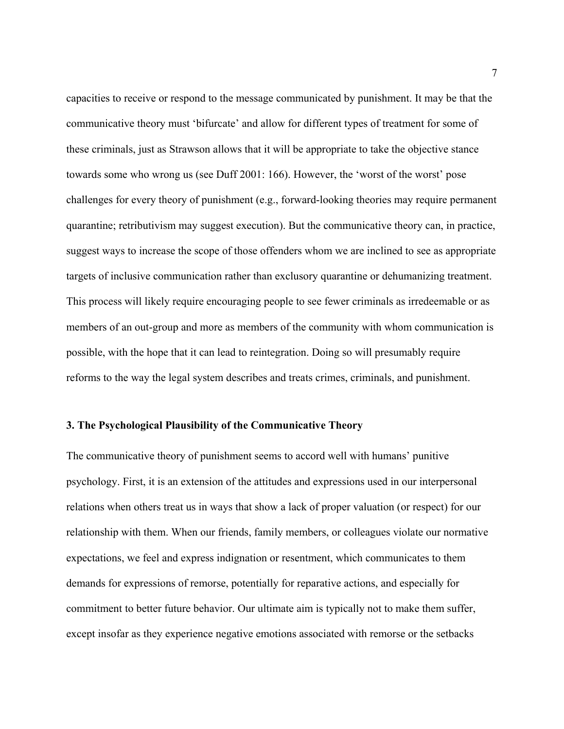capacities to receive or respond to the message communicated by punishment. It may be that the communicative theory must 'bifurcate' and allow for different types of treatment for some of these criminals, just as Strawson allows that it will be appropriate to take the objective stance towards some who wrong us (see Duff 2001: 166). However, the 'worst of the worst' pose challenges for every theory of punishment (e.g., forward-looking theories may require permanent quarantine; retributivism may suggest execution). But the communicative theory can, in practice, suggest ways to increase the scope of those offenders whom we are inclined to see as appropriate targets of inclusive communication rather than exclusory quarantine or dehumanizing treatment. This process will likely require encouraging people to see fewer criminals as irredeemable or as members of an out-group and more as members of the community with whom communication is possible, with the hope that it can lead to reintegration. Doing so will presumably require reforms to the way the legal system describes and treats crimes, criminals, and punishment.

#### **3. The Psychological Plausibility of the Communicative Theory**

The communicative theory of punishment seems to accord well with humans' punitive psychology. First, it is an extension of the attitudes and expressions used in our interpersonal relations when others treat us in ways that show a lack of proper valuation (or respect) for our relationship with them. When our friends, family members, or colleagues violate our normative expectations, we feel and express indignation or resentment, which communicates to them demands for expressions of remorse, potentially for reparative actions, and especially for commitment to better future behavior. Our ultimate aim is typically not to make them suffer, except insofar as they experience negative emotions associated with remorse or the setbacks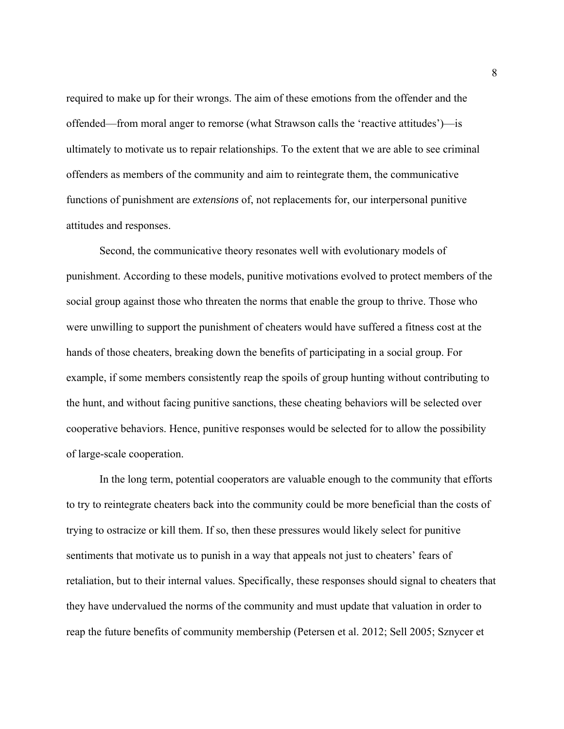required to make up for their wrongs. The aim of these emotions from the offender and the offended—from moral anger to remorse (what Strawson calls the 'reactive attitudes')—is ultimately to motivate us to repair relationships. To the extent that we are able to see criminal offenders as members of the community and aim to reintegrate them, the communicative functions of punishment are *extensions* of, not replacements for, our interpersonal punitive attitudes and responses.

Second, the communicative theory resonates well with evolutionary models of punishment. According to these models, punitive motivations evolved to protect members of the social group against those who threaten the norms that enable the group to thrive. Those who were unwilling to support the punishment of cheaters would have suffered a fitness cost at the hands of those cheaters, breaking down the benefits of participating in a social group. For example, if some members consistently reap the spoils of group hunting without contributing to the hunt, and without facing punitive sanctions, these cheating behaviors will be selected over cooperative behaviors. Hence, punitive responses would be selected for to allow the possibility of large-scale cooperation.

In the long term, potential cooperators are valuable enough to the community that efforts to try to reintegrate cheaters back into the community could be more beneficial than the costs of trying to ostracize or kill them. If so, then these pressures would likely select for punitive sentiments that motivate us to punish in a way that appeals not just to cheaters' fears of retaliation, but to their internal values. Specifically, these responses should signal to cheaters that they have undervalued the norms of the community and must update that valuation in order to reap the future benefits of community membership (Petersen et al. 2012; Sell 2005; Sznycer et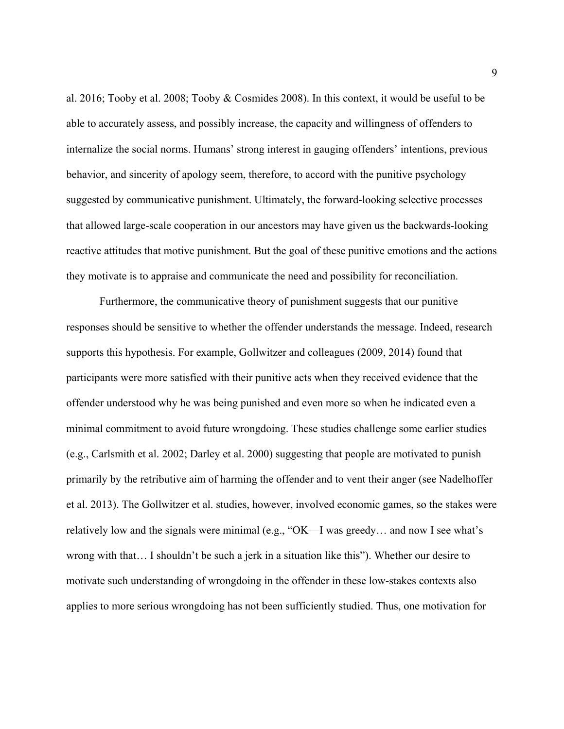al. 2016; Tooby et al. 2008; Tooby & Cosmides 2008). In this context, it would be useful to be able to accurately assess, and possibly increase, the capacity and willingness of offenders to internalize the social norms. Humans' strong interest in gauging offenders' intentions, previous behavior, and sincerity of apology seem, therefore, to accord with the punitive psychology suggested by communicative punishment. Ultimately, the forward-looking selective processes that allowed large-scale cooperation in our ancestors may have given us the backwards-looking reactive attitudes that motive punishment. But the goal of these punitive emotions and the actions they motivate is to appraise and communicate the need and possibility for reconciliation.

 Furthermore, the communicative theory of punishment suggests that our punitive responses should be sensitive to whether the offender understands the message. Indeed, research supports this hypothesis. For example, Gollwitzer and colleagues (2009, 2014) found that participants were more satisfied with their punitive acts when they received evidence that the offender understood why he was being punished and even more so when he indicated even a minimal commitment to avoid future wrongdoing. These studies challenge some earlier studies (e.g., Carlsmith et al. 2002; Darley et al. 2000) suggesting that people are motivated to punish primarily by the retributive aim of harming the offender and to vent their anger (see Nadelhoffer et al. 2013). The Gollwitzer et al. studies, however, involved economic games, so the stakes were relatively low and the signals were minimal (e.g., "OK—I was greedy… and now I see what's wrong with that… I shouldn't be such a jerk in a situation like this"). Whether our desire to motivate such understanding of wrongdoing in the offender in these low-stakes contexts also applies to more serious wrongdoing has not been sufficiently studied. Thus, one motivation for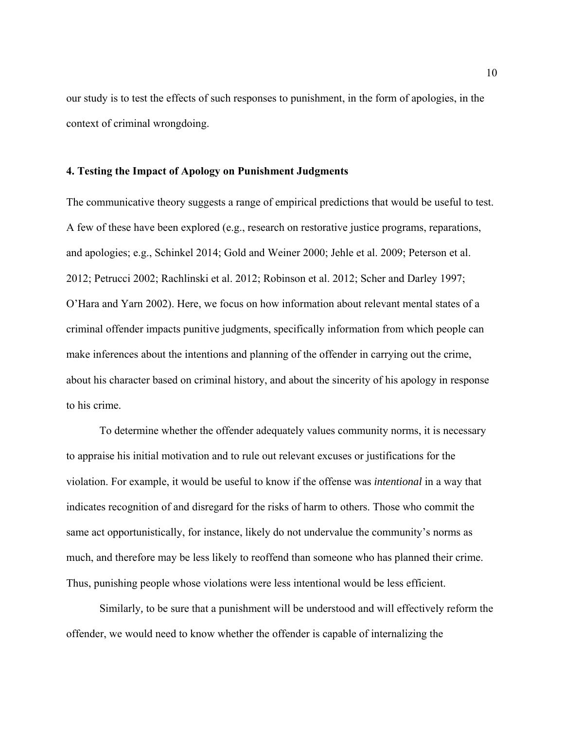our study is to test the effects of such responses to punishment, in the form of apologies, in the context of criminal wrongdoing.

### **4. Testing the Impact of Apology on Punishment Judgments**

The communicative theory suggests a range of empirical predictions that would be useful to test. A few of these have been explored (e.g., research on restorative justice programs, reparations, and apologies; e.g., Schinkel 2014; Gold and Weiner 2000; Jehle et al. 2009; Peterson et al. 2012; Petrucci 2002; Rachlinski et al. 2012; Robinson et al. 2012; Scher and Darley 1997; O'Hara and Yarn 2002). Here, we focus on how information about relevant mental states of a criminal offender impacts punitive judgments, specifically information from which people can make inferences about the intentions and planning of the offender in carrying out the crime, about his character based on criminal history, and about the sincerity of his apology in response to his crime.

To determine whether the offender adequately values community norms, it is necessary to appraise his initial motivation and to rule out relevant excuses or justifications for the violation. For example, it would be useful to know if the offense was *intentional* in a way that indicates recognition of and disregard for the risks of harm to others. Those who commit the same act opportunistically, for instance, likely do not undervalue the community's norms as much, and therefore may be less likely to reoffend than someone who has planned their crime. Thus, punishing people whose violations were less intentional would be less efficient.

Similarly*,* to be sure that a punishment will be understood and will effectively reform the offender, we would need to know whether the offender is capable of internalizing the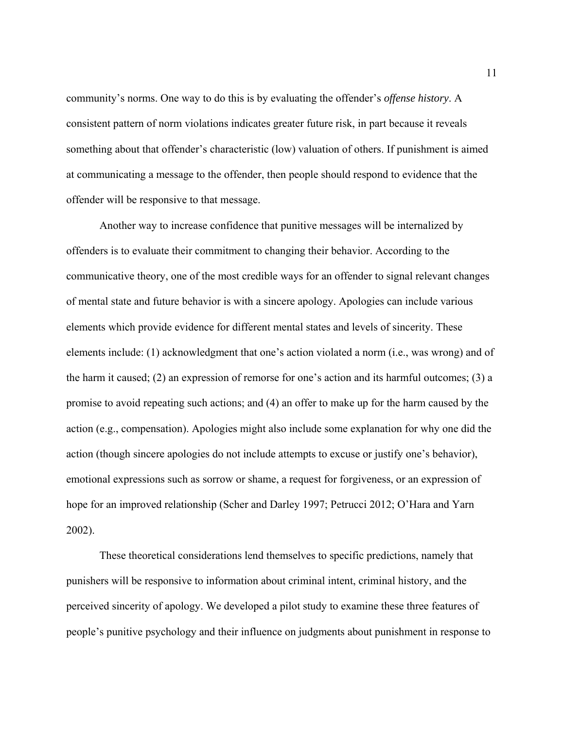community's norms. One way to do this is by evaluating the offender's *offense history*. A consistent pattern of norm violations indicates greater future risk, in part because it reveals something about that offender's characteristic (low) valuation of others. If punishment is aimed at communicating a message to the offender, then people should respond to evidence that the offender will be responsive to that message.

Another way to increase confidence that punitive messages will be internalized by offenders is to evaluate their commitment to changing their behavior. According to the communicative theory, one of the most credible ways for an offender to signal relevant changes of mental state and future behavior is with a sincere apology. Apologies can include various elements which provide evidence for different mental states and levels of sincerity. These elements include: (1) acknowledgment that one's action violated a norm (i.e., was wrong) and of the harm it caused; (2) an expression of remorse for one's action and its harmful outcomes; (3) a promise to avoid repeating such actions; and (4) an offer to make up for the harm caused by the action (e.g., compensation). Apologies might also include some explanation for why one did the action (though sincere apologies do not include attempts to excuse or justify one's behavior), emotional expressions such as sorrow or shame, a request for forgiveness, or an expression of hope for an improved relationship (Scher and Darley 1997; Petrucci 2012; O'Hara and Yarn 2002).

These theoretical considerations lend themselves to specific predictions, namely that punishers will be responsive to information about criminal intent, criminal history, and the perceived sincerity of apology. We developed a pilot study to examine these three features of people's punitive psychology and their influence on judgments about punishment in response to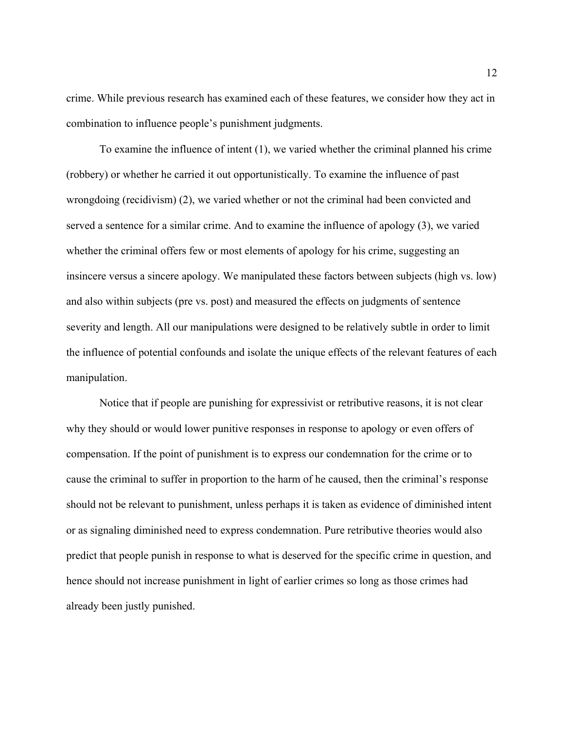crime. While previous research has examined each of these features, we consider how they act in combination to influence people's punishment judgments.

To examine the influence of intent (1), we varied whether the criminal planned his crime (robbery) or whether he carried it out opportunistically. To examine the influence of past wrongdoing (recidivism) (2), we varied whether or not the criminal had been convicted and served a sentence for a similar crime. And to examine the influence of apology (3), we varied whether the criminal offers few or most elements of apology for his crime, suggesting an insincere versus a sincere apology. We manipulated these factors between subjects (high vs. low) and also within subjects (pre vs. post) and measured the effects on judgments of sentence severity and length. All our manipulations were designed to be relatively subtle in order to limit the influence of potential confounds and isolate the unique effects of the relevant features of each manipulation.

Notice that if people are punishing for expressivist or retributive reasons, it is not clear why they should or would lower punitive responses in response to apology or even offers of compensation. If the point of punishment is to express our condemnation for the crime or to cause the criminal to suffer in proportion to the harm of he caused, then the criminal's response should not be relevant to punishment, unless perhaps it is taken as evidence of diminished intent or as signaling diminished need to express condemnation. Pure retributive theories would also predict that people punish in response to what is deserved for the specific crime in question, and hence should not increase punishment in light of earlier crimes so long as those crimes had already been justly punished.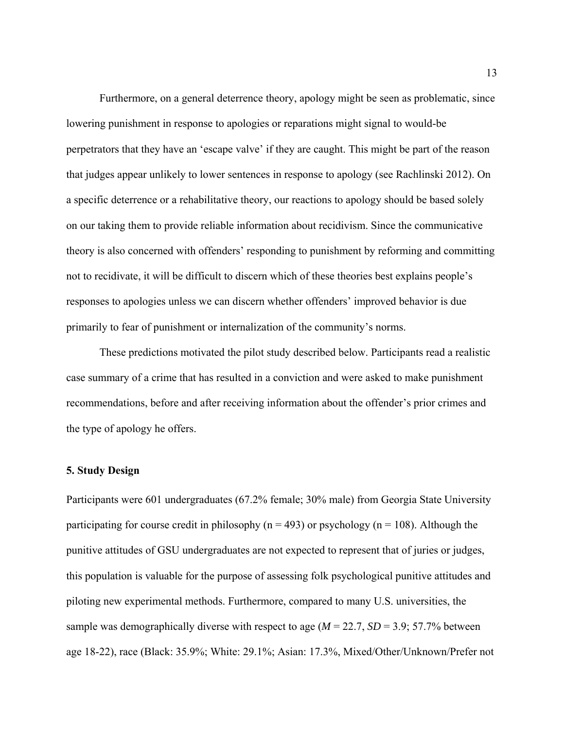Furthermore, on a general deterrence theory, apology might be seen as problematic, since lowering punishment in response to apologies or reparations might signal to would-be perpetrators that they have an 'escape valve' if they are caught. This might be part of the reason that judges appear unlikely to lower sentences in response to apology (see Rachlinski 2012). On a specific deterrence or a rehabilitative theory, our reactions to apology should be based solely on our taking them to provide reliable information about recidivism. Since the communicative theory is also concerned with offenders' responding to punishment by reforming and committing not to recidivate, it will be difficult to discern which of these theories best explains people's responses to apologies unless we can discern whether offenders' improved behavior is due primarily to fear of punishment or internalization of the community's norms.

These predictions motivated the pilot study described below. Participants read a realistic case summary of a crime that has resulted in a conviction and were asked to make punishment recommendations, before and after receiving information about the offender's prior crimes and the type of apology he offers.

#### **5. Study Design**

Participants were 601 undergraduates (67.2% female; 30% male) from Georgia State University participating for course credit in philosophy ( $n = 493$ ) or psychology ( $n = 108$ ). Although the punitive attitudes of GSU undergraduates are not expected to represent that of juries or judges, this population is valuable for the purpose of assessing folk psychological punitive attitudes and piloting new experimental methods. Furthermore, compared to many U.S. universities, the sample was demographically diverse with respect to age  $(M = 22.7, SD = 3.9; 57.7\%$  between age 18-22), race (Black: 35.9%; White: 29.1%; Asian: 17.3%, Mixed/Other/Unknown/Prefer not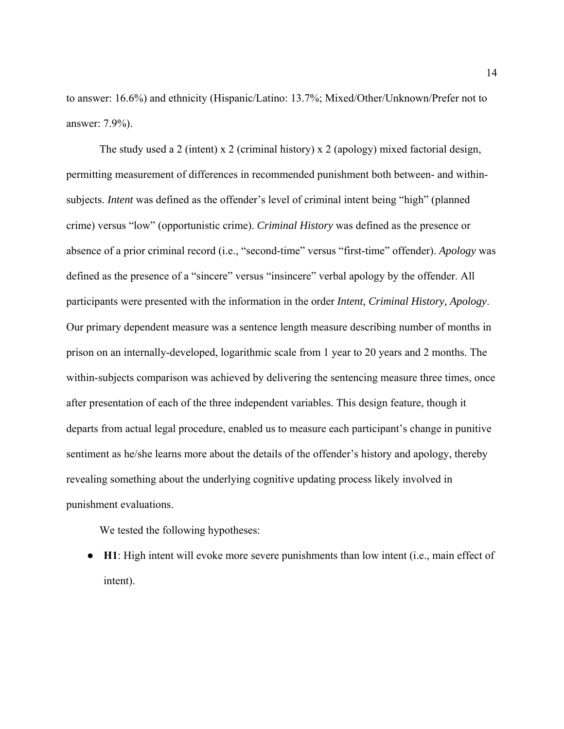to answer: 16.6%) and ethnicity (Hispanic/Latino: 13.7%; Mixed/Other/Unknown/Prefer not to answer: 7.9%).

The study used a 2 (intent) x 2 (criminal history) x 2 (apology) mixed factorial design, permitting measurement of differences in recommended punishment both between- and withinsubjects. *Intent* was defined as the offender's level of criminal intent being "high" (planned crime) versus "low" (opportunistic crime). *Criminal History* was defined as the presence or absence of a prior criminal record (i.e., "second-time" versus "first-time" offender). *Apology* was defined as the presence of a "sincere" versus "insincere" verbal apology by the offender. All participants were presented with the information in the order *Intent, Criminal History, Apology*. Our primary dependent measure was a sentence length measure describing number of months in prison on an internally-developed, logarithmic scale from 1 year to 20 years and 2 months. The within-subjects comparison was achieved by delivering the sentencing measure three times, once after presentation of each of the three independent variables. This design feature, though it departs from actual legal procedure, enabled us to measure each participant's change in punitive sentiment as he/she learns more about the details of the offender's history and apology, thereby revealing something about the underlying cognitive updating process likely involved in punishment evaluations.

We tested the following hypotheses:

● **H1**: High intent will evoke more severe punishments than low intent (i.e., main effect of intent).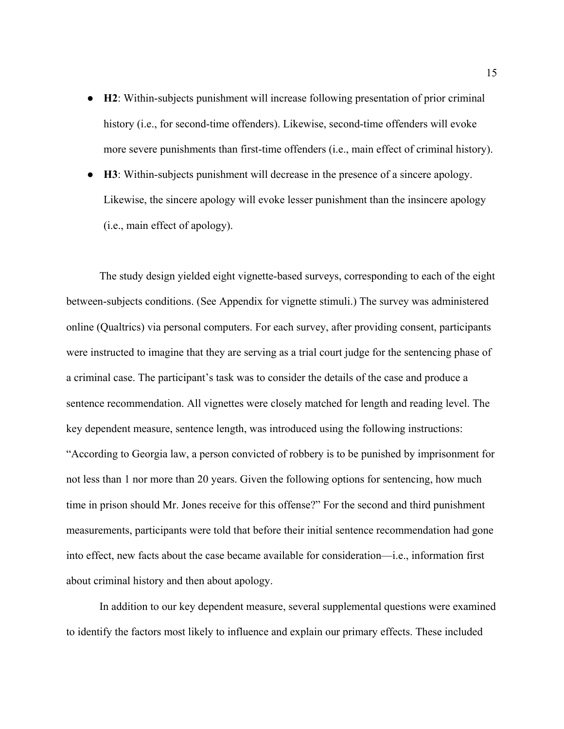- **H2**: Within-subjects punishment will increase following presentation of prior criminal history (i.e., for second-time offenders). Likewise, second-time offenders will evoke more severe punishments than first-time offenders (i.e., main effect of criminal history).
- **H3**: Within-subjects punishment will decrease in the presence of a sincere apology. Likewise, the sincere apology will evoke lesser punishment than the insincere apology (i.e., main effect of apology).

The study design yielded eight vignette-based surveys, corresponding to each of the eight between-subjects conditions. (See Appendix for vignette stimuli.) The survey was administered online (Qualtrics) via personal computers. For each survey, after providing consent, participants were instructed to imagine that they are serving as a trial court judge for the sentencing phase of a criminal case. The participant's task was to consider the details of the case and produce a sentence recommendation. All vignettes were closely matched for length and reading level. The key dependent measure, sentence length, was introduced using the following instructions: "According to Georgia law, a person convicted of robbery is to be punished by imprisonment for not less than 1 nor more than 20 years. Given the following options for sentencing, how much time in prison should Mr. Jones receive for this offense?" For the second and third punishment measurements, participants were told that before their initial sentence recommendation had gone into effect, new facts about the case became available for consideration—i.e., information first about criminal history and then about apology.

In addition to our key dependent measure, several supplemental questions were examined to identify the factors most likely to influence and explain our primary effects. These included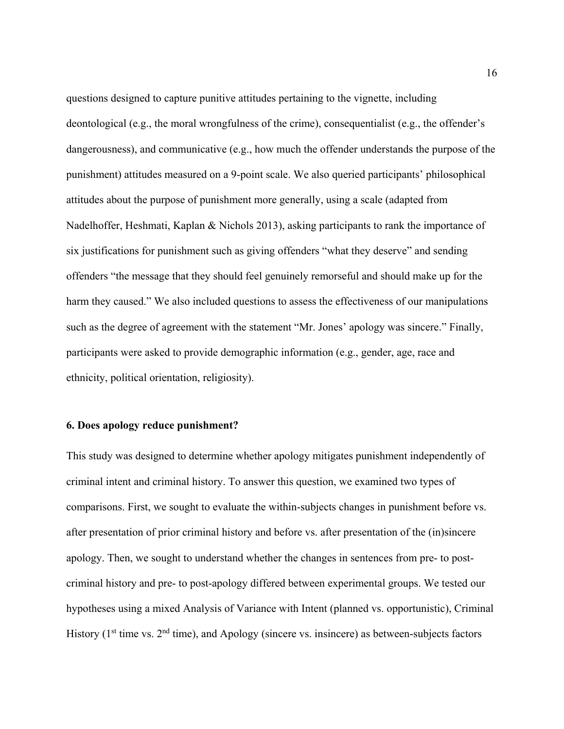questions designed to capture punitive attitudes pertaining to the vignette, including deontological (e.g., the moral wrongfulness of the crime), consequentialist (e.g., the offender's dangerousness), and communicative (e.g., how much the offender understands the purpose of the punishment) attitudes measured on a 9-point scale. We also queried participants' philosophical attitudes about the purpose of punishment more generally, using a scale (adapted from Nadelhoffer, Heshmati, Kaplan & Nichols 2013), asking participants to rank the importance of six justifications for punishment such as giving offenders "what they deserve" and sending offenders "the message that they should feel genuinely remorseful and should make up for the harm they caused." We also included questions to assess the effectiveness of our manipulations such as the degree of agreement with the statement "Mr. Jones' apology was sincere." Finally, participants were asked to provide demographic information (e.g., gender, age, race and ethnicity, political orientation, religiosity).

#### **6. Does apology reduce punishment?**

This study was designed to determine whether apology mitigates punishment independently of criminal intent and criminal history. To answer this question, we examined two types of comparisons. First, we sought to evaluate the within-subjects changes in punishment before vs. after presentation of prior criminal history and before vs. after presentation of the (in)sincere apology. Then, we sought to understand whether the changes in sentences from pre- to postcriminal history and pre- to post-apology differed between experimental groups. We tested our hypotheses using a mixed Analysis of Variance with Intent (planned vs. opportunistic), Criminal History ( $1<sup>st</sup>$  time vs.  $2<sup>nd</sup>$  time), and Apology (sincere vs. insincere) as between-subjects factors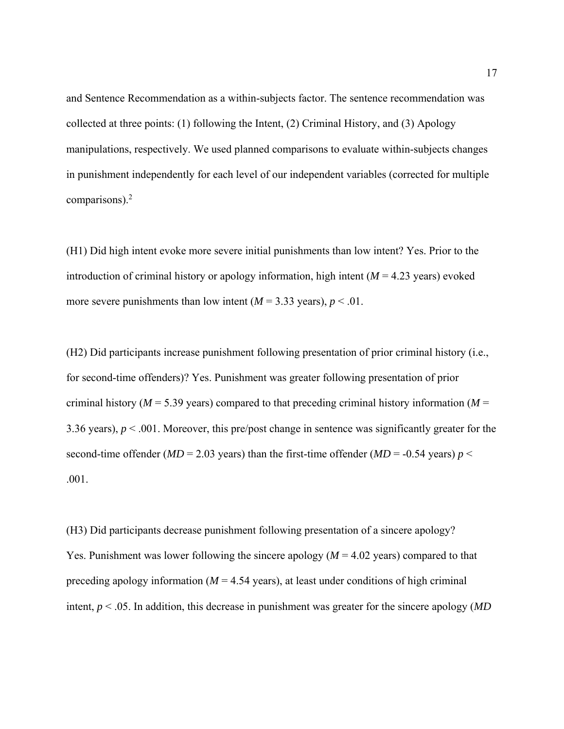and Sentence Recommendation as a within-subjects factor. The sentence recommendation was collected at three points: (1) following the Intent, (2) Criminal History, and (3) Apology manipulations, respectively. We used planned comparisons to evaluate within-subjects changes in punishment independently for each level of our independent variables (corrected for multiple comparisons). $<sup>2</sup>$ </sup>

(H1) Did high intent evoke more severe initial punishments than low intent? Yes. Prior to the introduction of criminal history or apology information, high intent  $(M = 4.23$  years) evoked more severe punishments than low intent  $(M = 3.33 \text{ years})$ ,  $p < .01$ .

(H2) Did participants increase punishment following presentation of prior criminal history (i.e., for second-time offenders)? Yes. Punishment was greater following presentation of prior criminal history ( $M = 5.39$  years) compared to that preceding criminal history information ( $M =$ 3.36 years), *p* < .001. Moreover, this pre/post change in sentence was significantly greater for the second-time offender ( $MD = 2.03$  years) than the first-time offender ( $MD = -0.54$  years)  $p <$ .001.

(H3) Did participants decrease punishment following presentation of a sincere apology? Yes. Punishment was lower following the sincere apology (*M* = 4.02 years) compared to that preceding apology information ( $M = 4.54$  years), at least under conditions of high criminal intent, *p* < .05. In addition, this decrease in punishment was greater for the sincere apology (*MD*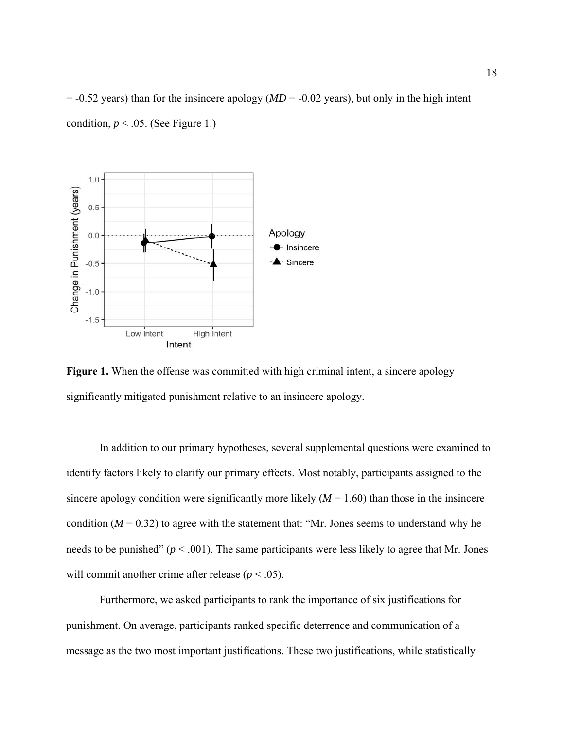$= -0.52$  years) than for the insincere apology ( $MD = -0.02$  years), but only in the high intent condition,  $p < .05$ . (See Figure 1.)



**Figure 1.** When the offense was committed with high criminal intent, a sincere apology significantly mitigated punishment relative to an insincere apology.

 In addition to our primary hypotheses, several supplemental questions were examined to identify factors likely to clarify our primary effects. Most notably, participants assigned to the sincere apology condition were significantly more likely  $(M = 1.60)$  than those in the insincere condition  $(M = 0.32)$  to agree with the statement that: "Mr. Jones seems to understand why he needs to be punished"  $(p < .001)$ . The same participants were less likely to agree that Mr. Jones will commit another crime after release ( $p < .05$ ).

Furthermore, we asked participants to rank the importance of six justifications for punishment. On average, participants ranked specific deterrence and communication of a message as the two most important justifications. These two justifications, while statistically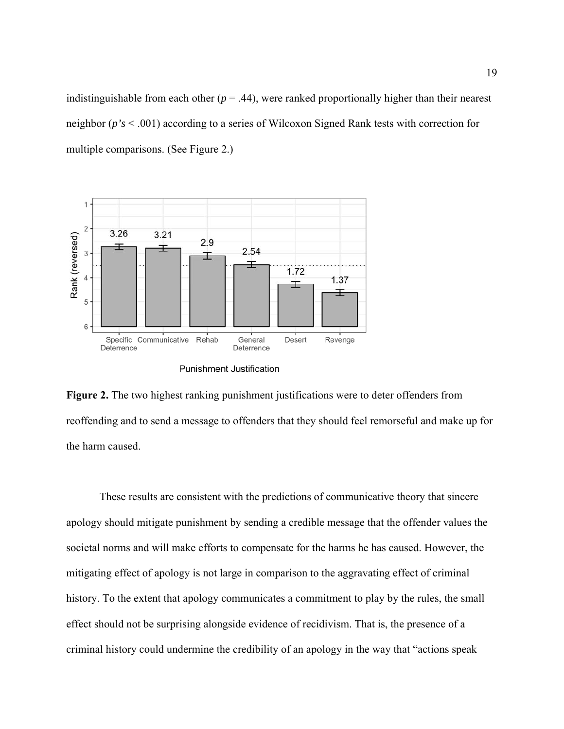indistinguishable from each other  $(p = .44)$ , were ranked proportionally higher than their nearest neighbor (*p's* < .001) according to a series of Wilcoxon Signed Rank tests with correction for multiple comparisons. (See Figure 2.)



**Figure 2.** The two highest ranking punishment justifications were to deter offenders from reoffending and to send a message to offenders that they should feel remorseful and make up for the harm caused.

 These results are consistent with the predictions of communicative theory that sincere apology should mitigate punishment by sending a credible message that the offender values the societal norms and will make efforts to compensate for the harms he has caused. However, the mitigating effect of apology is not large in comparison to the aggravating effect of criminal history. To the extent that apology communicates a commitment to play by the rules, the small effect should not be surprising alongside evidence of recidivism. That is, the presence of a criminal history could undermine the credibility of an apology in the way that "actions speak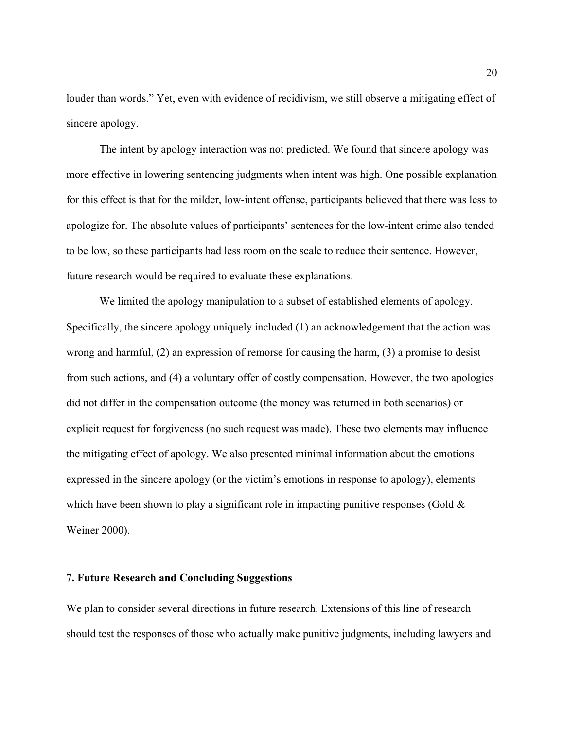louder than words." Yet, even with evidence of recidivism, we still observe a mitigating effect of sincere apology.

The intent by apology interaction was not predicted. We found that sincere apology was more effective in lowering sentencing judgments when intent was high. One possible explanation for this effect is that for the milder, low-intent offense, participants believed that there was less to apologize for. The absolute values of participants' sentences for the low-intent crime also tended to be low, so these participants had less room on the scale to reduce their sentence. However, future research would be required to evaluate these explanations.

We limited the apology manipulation to a subset of established elements of apology. Specifically, the sincere apology uniquely included (1) an acknowledgement that the action was wrong and harmful, (2) an expression of remorse for causing the harm, (3) a promise to desist from such actions, and (4) a voluntary offer of costly compensation. However, the two apologies did not differ in the compensation outcome (the money was returned in both scenarios) or explicit request for forgiveness (no such request was made). These two elements may influence the mitigating effect of apology. We also presented minimal information about the emotions expressed in the sincere apology (or the victim's emotions in response to apology), elements which have been shown to play a significant role in impacting punitive responses (Gold  $\&$ Weiner 2000).

### **7. Future Research and Concluding Suggestions**

We plan to consider several directions in future research. Extensions of this line of research should test the responses of those who actually make punitive judgments, including lawyers and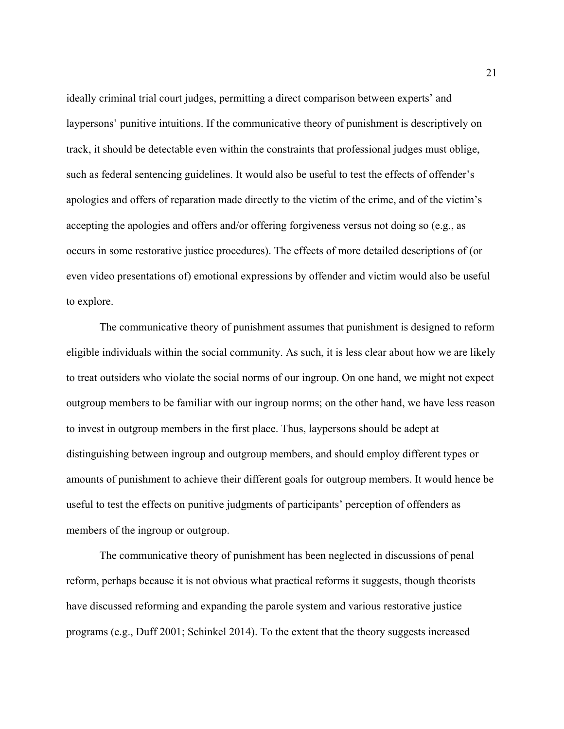ideally criminal trial court judges, permitting a direct comparison between experts' and laypersons' punitive intuitions. If the communicative theory of punishment is descriptively on track, it should be detectable even within the constraints that professional judges must oblige, such as federal sentencing guidelines. It would also be useful to test the effects of offender's apologies and offers of reparation made directly to the victim of the crime, and of the victim's accepting the apologies and offers and/or offering forgiveness versus not doing so (e.g., as occurs in some restorative justice procedures). The effects of more detailed descriptions of (or even video presentations of) emotional expressions by offender and victim would also be useful to explore.

The communicative theory of punishment assumes that punishment is designed to reform eligible individuals within the social community. As such, it is less clear about how we are likely to treat outsiders who violate the social norms of our ingroup. On one hand, we might not expect outgroup members to be familiar with our ingroup norms; on the other hand, we have less reason to invest in outgroup members in the first place. Thus, laypersons should be adept at distinguishing between ingroup and outgroup members, and should employ different types or amounts of punishment to achieve their different goals for outgroup members. It would hence be useful to test the effects on punitive judgments of participants' perception of offenders as members of the ingroup or outgroup.

The communicative theory of punishment has been neglected in discussions of penal reform, perhaps because it is not obvious what practical reforms it suggests, though theorists have discussed reforming and expanding the parole system and various restorative justice programs (e.g., Duff 2001; Schinkel 2014). To the extent that the theory suggests increased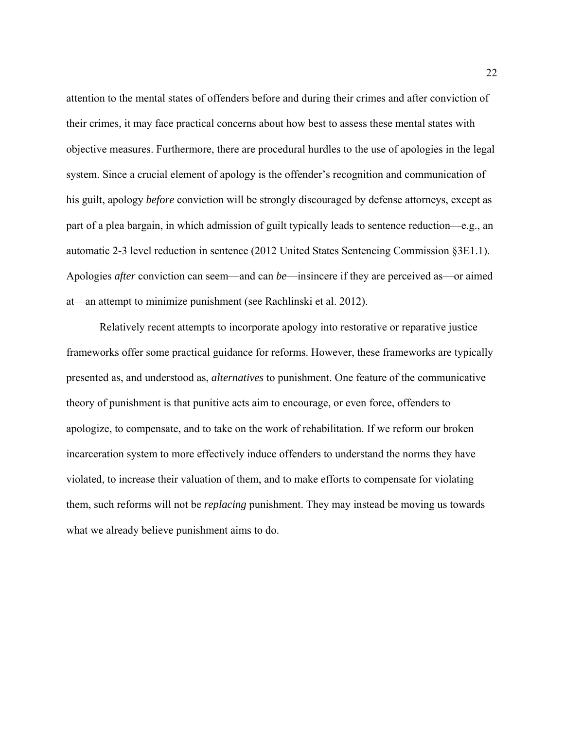attention to the mental states of offenders before and during their crimes and after conviction of their crimes, it may face practical concerns about how best to assess these mental states with objective measures. Furthermore, there are procedural hurdles to the use of apologies in the legal system. Since a crucial element of apology is the offender's recognition and communication of his guilt, apology *before* conviction will be strongly discouraged by defense attorneys, except as part of a plea bargain, in which admission of guilt typically leads to sentence reduction—e.g., an automatic 2-3 level reduction in sentence (2012 United States Sentencing Commission §3E1.1). Apologies *after* conviction can seem—and can *be*—insincere if they are perceived as—or aimed at—an attempt to minimize punishment (see Rachlinski et al. 2012).

Relatively recent attempts to incorporate apology into restorative or reparative justice frameworks offer some practical guidance for reforms. However, these frameworks are typically presented as, and understood as, *alternatives* to punishment. One feature of the communicative theory of punishment is that punitive acts aim to encourage, or even force, offenders to apologize, to compensate, and to take on the work of rehabilitation. If we reform our broken incarceration system to more effectively induce offenders to understand the norms they have violated, to increase their valuation of them, and to make efforts to compensate for violating them, such reforms will not be *replacing* punishment. They may instead be moving us towards what we already believe punishment aims to do.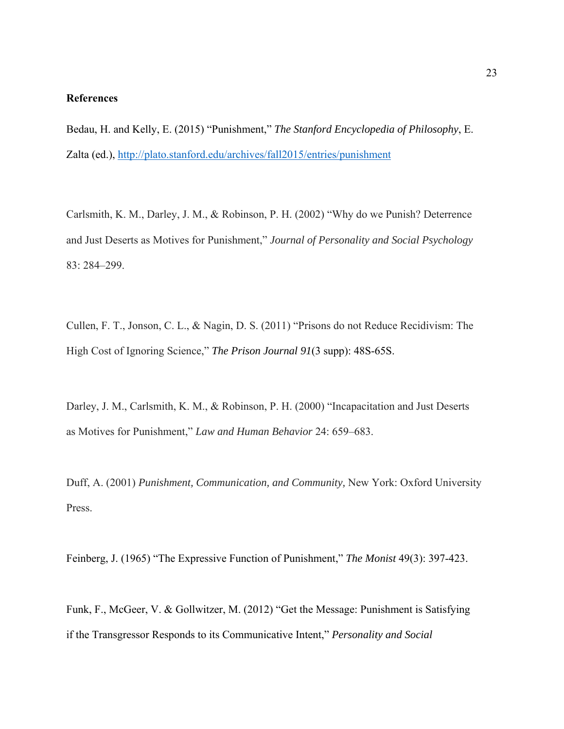## **References**

Bedau, H. and Kelly, E. (2015) "Punishment," *The Stanford Encyclopedia of Philosophy*, E. Zalta (ed.), http://plato.stanford.edu/archives/fall2015/entries/punishment

Carlsmith, K. M., Darley, J. M., & Robinson, P. H. (2002) "Why do we Punish? Deterrence and Just Deserts as Motives for Punishment," *Journal of Personality and Social Psychology* 83: 284–299.

Cullen, F. T., Jonson, C. L., & Nagin, D. S. (2011) "Prisons do not Reduce Recidivism: The High Cost of Ignoring Science," *The Prison Journal 91*(3 supp): 48S-65S.

Darley, J. M., Carlsmith, K. M., & Robinson, P. H. (2000) "Incapacitation and Just Deserts as Motives for Punishment," *Law and Human Behavior* 24: 659–683.

Duff, A. (2001) *Punishment, Communication, and Community,* New York: Oxford University Press.

Feinberg, J. (1965) "The Expressive Function of Punishment," *The Monist* 49(3): 397-423.

Funk, F., McGeer, V. & Gollwitzer, M. (2012) "Get the Message: Punishment is Satisfying if the Transgressor Responds to its Communicative Intent," *Personality and Social*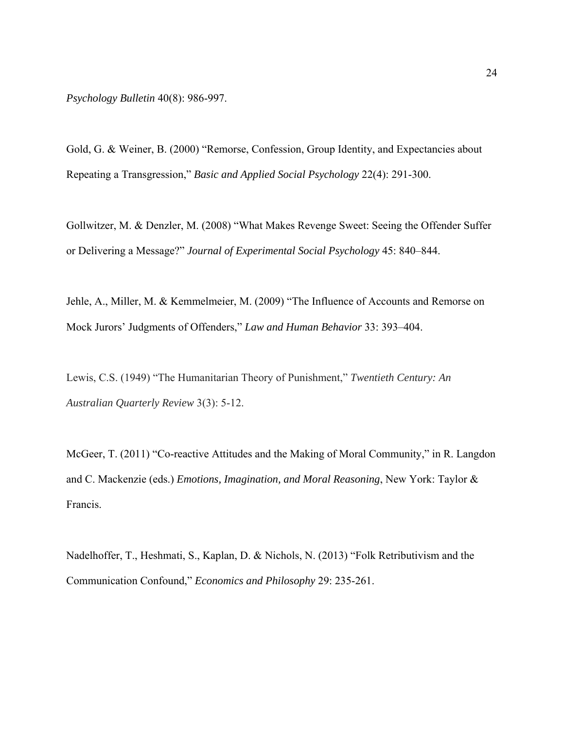*Psychology Bulletin* 40(8): 986-997.

Gold, G. & Weiner, B. (2000) "Remorse, Confession, Group Identity, and Expectancies about Repeating a Transgression," *Basic and Applied Social Psychology* 22(4): 291-300.

Gollwitzer, M. & Denzler, M. (2008) "What Makes Revenge Sweet: Seeing the Offender Suffer or Delivering a Message?" *Journal of Experimental Social Psychology* 45: 840–844.

Jehle, A., Miller, M. & Kemmelmeier, M. (2009) "The Influence of Accounts and Remorse on Mock Jurors' Judgments of Offenders," *Law and Human Behavior* 33: 393–404.

Lewis, C.S. (1949) "The Humanitarian Theory of Punishment," *Twentieth Century: An Australian Quarterly Review* 3(3): 5-12.

McGeer, T. (2011) "Co-reactive Attitudes and the Making of Moral Community," in R. Langdon and C. Mackenzie (eds.) *Emotions, Imagination, and Moral Reasoning*, New York: Taylor & Francis.

Nadelhoffer, T., Heshmati, S., Kaplan, D. & Nichols, N. (2013) "Folk Retributivism and the Communication Confound," *Economics and Philosophy* 29: 235-261.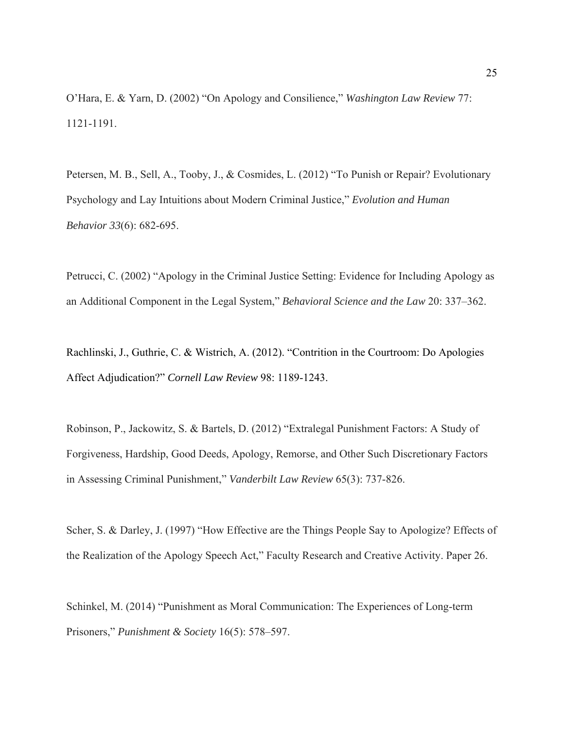O'Hara, E. & Yarn, D. (2002) "On Apology and Consilience," *Washington Law Review* 77: 1121-1191.

Petersen, M. B., Sell, A., Tooby, J., & Cosmides, L. (2012) "To Punish or Repair? Evolutionary Psychology and Lay Intuitions about Modern Criminal Justice," *Evolution and Human Behavior 33*(6): 682-695.

Petrucci, C. (2002) "Apology in the Criminal Justice Setting: Evidence for Including Apology as an Additional Component in the Legal System," *Behavioral Science and the Law* 20: 337–362.

Rachlinski, J., Guthrie, C. & Wistrich, A. (2012). "Contrition in the Courtroom: Do Apologies Affect Adjudication?" *Cornell Law Review* 98: 1189-1243.

Robinson, P., Jackowitz, S. & Bartels, D. (2012) "Extralegal Punishment Factors: A Study of Forgiveness, Hardship, Good Deeds, Apology, Remorse, and Other Such Discretionary Factors in Assessing Criminal Punishment," *Vanderbilt Law Review* 65(3): 737-826.

Scher, S. & Darley, J. (1997) "How Effective are the Things People Say to Apologize? Effects of the Realization of the Apology Speech Act," Faculty Research and Creative Activity. Paper 26.

Schinkel, M. (2014) "Punishment as Moral Communication: The Experiences of Long-term Prisoners," *Punishment & Society* 16(5): 578–597.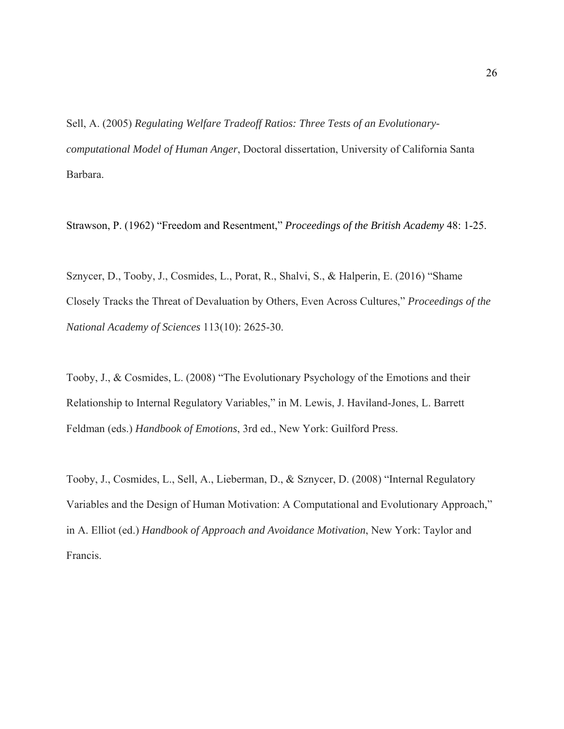Sell, A. (2005) *Regulating Welfare Tradeoff Ratios: Three Tests of an Evolutionarycomputational Model of Human Anger*, Doctoral dissertation, University of California Santa Barbara.

Strawson, P. (1962) "Freedom and Resentment," *Proceedings of the British Academy* 48: 1-25.

Sznycer, D., Tooby, J., Cosmides, L., Porat, R., Shalvi, S., & Halperin, E. (2016) "Shame Closely Tracks the Threat of Devaluation by Others, Even Across Cultures," *Proceedings of the National Academy of Sciences* 113(10): 2625-30.

Tooby, J., & Cosmides, L. (2008) "The Evolutionary Psychology of the Emotions and their Relationship to Internal Regulatory Variables," in M. Lewis, J. Haviland-Jones, L. Barrett Feldman (eds.) *Handbook of Emotions*, 3rd ed., New York: Guilford Press.

Tooby, J., Cosmides, L., Sell, A., Lieberman, D., & Sznycer, D. (2008) "Internal Regulatory Variables and the Design of Human Motivation: A Computational and Evolutionary Approach," in A. Elliot (ed.) *Handbook of Approach and Avoidance Motivation*, New York: Taylor and Francis.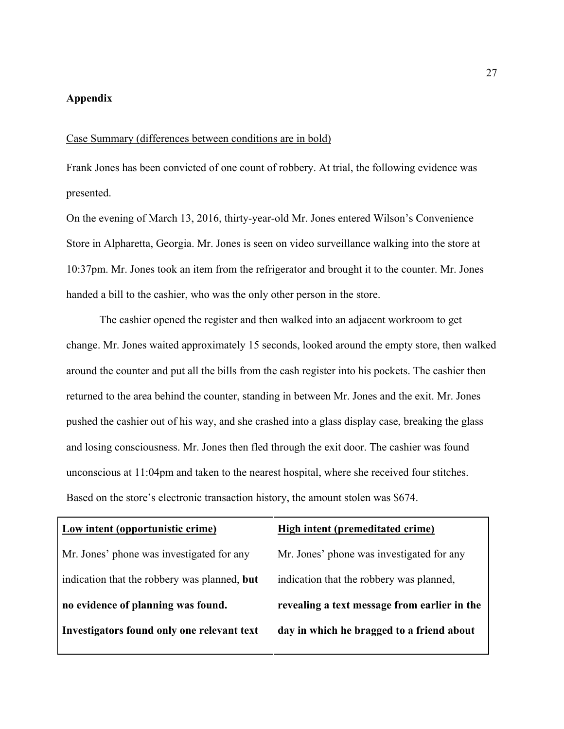## **Appendix**

### Case Summary (differences between conditions are in bold)

Frank Jones has been convicted of one count of robbery. At trial, the following evidence was presented.

On the evening of March 13, 2016, thirty-year-old Mr. Jones entered Wilson's Convenience Store in Alpharetta, Georgia. Mr. Jones is seen on video surveillance walking into the store at 10:37pm. Mr. Jones took an item from the refrigerator and brought it to the counter. Mr. Jones handed a bill to the cashier, who was the only other person in the store.

The cashier opened the register and then walked into an adjacent workroom to get change. Mr. Jones waited approximately 15 seconds, looked around the empty store, then walked around the counter and put all the bills from the cash register into his pockets. The cashier then returned to the area behind the counter, standing in between Mr. Jones and the exit. Mr. Jones pushed the cashier out of his way, and she crashed into a glass display case, breaking the glass and losing consciousness. Mr. Jones then fled through the exit door. The cashier was found unconscious at 11:04pm and taken to the nearest hospital, where she received four stitches. Based on the store's electronic transaction history, the amount stolen was \$674.

| High intent (premeditated crime)             |
|----------------------------------------------|
| Mr. Jones' phone was investigated for any    |
| indication that the robbery was planned,     |
| revealing a text message from earlier in the |
| day in which he bragged to a friend about    |
|                                              |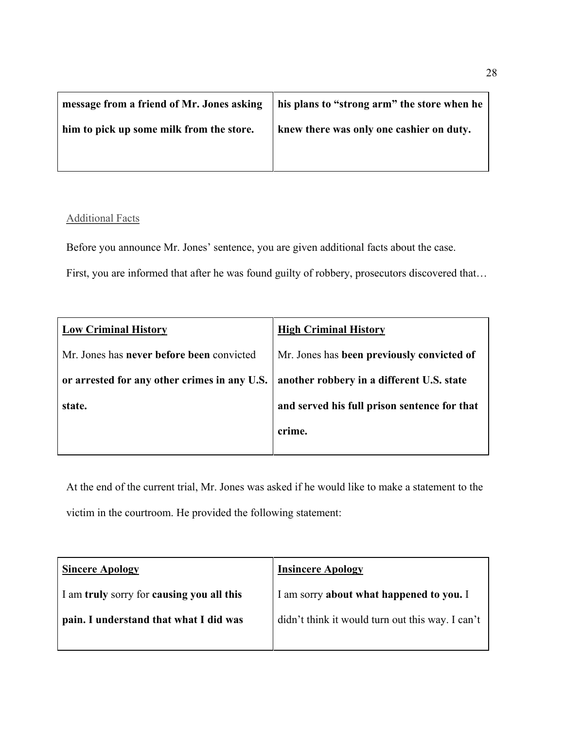| message from a friend of Mr. Jones asking | I his plans to "strong arm" the store when he |
|-------------------------------------------|-----------------------------------------------|
| him to pick up some milk from the store.  | knew there was only one cashier on duty.      |
|                                           |                                               |

# Additional Facts

Before you announce Mr. Jones' sentence, you are given additional facts about the case.

First, you are informed that after he was found guilty of robbery, prosecutors discovered that…

| <b>Low Criminal History</b>                  | <b>High Criminal History</b>                 |
|----------------------------------------------|----------------------------------------------|
| Mr. Jones has never before been convicted    | Mr. Jones has been previously convicted of   |
| or arrested for any other crimes in any U.S. | another robbery in a different U.S. state    |
| state.                                       | and served his full prison sentence for that |
|                                              | crime.                                       |
|                                              |                                              |

At the end of the current trial, Mr. Jones was asked if he would like to make a statement to the victim in the courtroom. He provided the following statement:

| <b>Sincere Apology</b>                    | <b>Insincere Apology</b>                         |
|-------------------------------------------|--------------------------------------------------|
| I am truly sorry for causing you all this | I am sorry about what happened to you. I         |
| pain. I understand that what I did was    | didn't think it would turn out this way. I can't |
|                                           |                                                  |